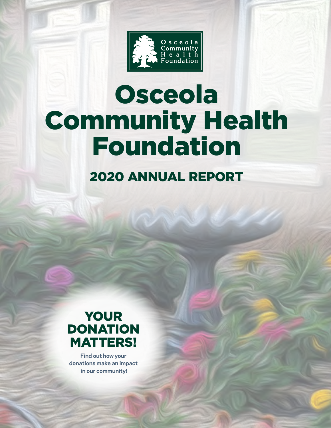

# Osceola Community Health Foundation

### 2020 ANNUAL REPORT



**Find out how your donations make an impact in our community!**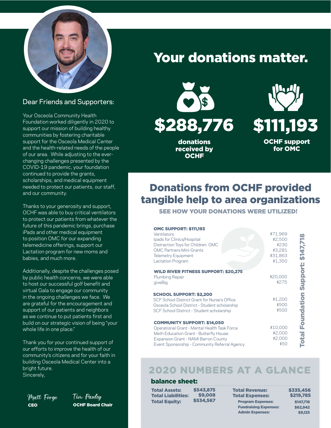

#### Dear Friends and Supporters:

Your Osceola Community Health Foundation worked diligently in 2020 to support our mission of building healthy communities by fostering charitable support for the Osceola Medical Center and the health-related needs of the people of our area. While adjusting to the everchanging challenges presented by the COVID-19 pandemic, your foundation continued to provide the grants, scholarships, and medical equipment needed to protect our patients, our staff, and our community.

Thanks to your generosity and support, OCHF was able to buy critical ventilators to protect our patients from whatever the future of this pandemic brings, purchase iPads and other medical equipment to position OMC for our expanding telemedicine offerings, support our Lactation program for new moms and babies, and much more.

Additionally, despite the challenges posed by public health concerns, we were able to host our successful golf benefit and virtual Gala to engage our community in the ongoing challenges we face. We are grateful for the encouragement and support of our patients and neighbors as we continue to put patients first and build on our strategic vision of being "your whole life in one place."

Thank you for your continued support of our efforts to improve the health of our community's citizens and for your faith in building Osceola Medical Center into a bright future. Sincerely,

Matt Forge Tim Pauley CEO OCHF Board Chair

### Your donations matter.



donations received by **OCHF** 



### Donations from OCHF provided tangible help to area organizations

SEE HOW YOUR DONATIONS WERE UTILIZED!

| <b>OMC SUPPORT: \$111,193</b><br>Ventilators<br>Ipads for Clinics/Hospital<br>Distraction Toys for Children: OMC<br><b>OMC Partners Mini-Grants</b><br><b>Telemetry Equipment</b><br><b>Lactation Program</b>          | \$71,969<br>\$2,500<br>\$230<br>\$3,281<br>\$31,863<br>\$1,350 | 89<br>ត្        |
|------------------------------------------------------------------------------------------------------------------------------------------------------------------------------------------------------------------------|----------------------------------------------------------------|-----------------|
| <b>WILD RIVER FITNESS SUPPORT: \$20,275</b><br>Plumbing Repair<br>giveBig                                                                                                                                              | \$20,000<br>\$275                                              | <b>Support:</b> |
| <b>SCHOOL SUPPORT: \$2,200</b><br>SCF School District Grant for Nurse's Office<br>Osceola School District - Student scholarship<br>SCF School District - Student scholarship                                           | \$1,200<br>\$500<br>\$500                                      | Foundation      |
| <b>COMMUNITY SUPPORT: \$14,050</b><br>Operational Grant - Mental Health Task Force<br>Meth Education Grant - Butterfly House:<br>Expansion Grant - NAMI Barron County<br>Event Sponsorship - Community Referral Agency | \$10,000<br>\$2,000<br>\$2,000<br>\$50                         | <b>Dia</b>      |

### 2020 NUMBERS AT A GLANCE

#### balance sheet:

Total Assets: Total Liabilities: Total Equity: \$543,875 \$9,008 \$534,567

Total Revenue: Total Expenses: Program Expenses: Fundraising Expenses: Admin Expenses:

\$335,456 \$219,785 \$147,718 \$62,942 \$9,125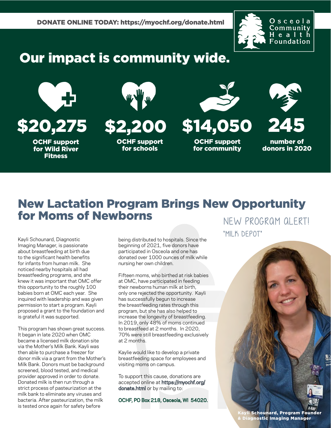

### Our impact is community wide.



OCHF support for Wild River Fitness



**OCHF support** for schools



\$20,275 \$2,200 \$14,050

OCHF support for community



number of donors in 2020

### New Lactation Program Brings New Opportunity for Moms of Newborns

Kayli Schounard, Diagnostic Imaging Manager, is passionate about breastfeeding at birth due to the significant health benefits for infants from human milk. She noticed nearby hospitals all had breastfeeding programs, and she knew it was important that OMC offer this opportunity to the roughly 100 babies born at OMC each year. She inquired with leadership and was given permission to start a program. Kayli proposed a grant to the foundation and is grateful it was supported.

This program has shown great success. It began in late 2020 when OMC became a licensed milk donation site via the Mother's Milk Bank. Kayli was then able to purchase a freezer for donor milk via a grant from the Mother's Milk Bank. Donors must be background screened, blood tested, and medical provider approved in order to donate. Donated milk is then run through a strict process of pasteurization at the milk bank to eliminate any viruses and bacteria. After pasteurization, the milk is tested once again for safety before

being distributed to hospitals. Since the beginning of 2021, five donors have participated in Osceola and one has donated over 1000 ounces of milk while nursing her own children.

Fifteen moms, who birthed at risk babies at OMC, have participated in feeding their newborns human milk at birth, only one rejected the opportunity. Kayli has successfully begun to increase the breastfeeding rates through this program, but she has also helped to increase the longevity of breastfeeding. In 2019, only 48% of moms continued to breastfeed at 2 months. In 2020, 70% were still breastfeeding exclusively at 2 months.

Kaylie would like to develop a private breastfeeding space for employees and visiting moms on campus.

To support this cause, donations are [accepted online at https://myochf.org/](https://myochf.org/donate.html) donate.html or by mailing to:

OCHF, PO Box 218, Osceola, WI 54020.

NEW PROGRAM ALERT! "MILK DEPOT"



Kayli Schounard, Program Founder & Diagnostic Imaging Manager